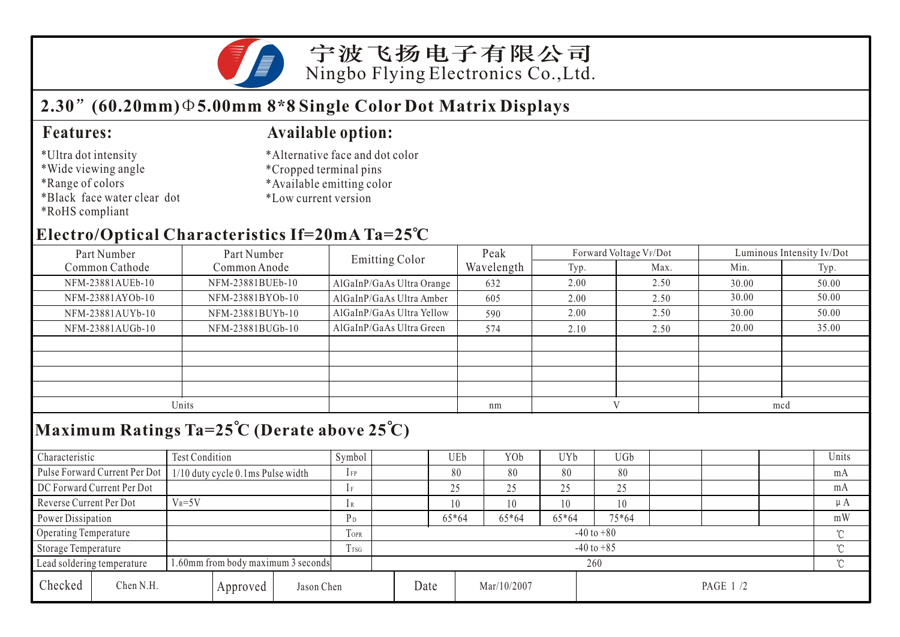宁波飞扬电子有限公司 Ningbo Flying Electronics Co.,Ltd.

## **2.30 (60.20mm) 5.00mm 8\*8 Single Color Dot Matrix Displays**

#### \*Ultra dot intensity

- \*Wide viewing angle
- \*Range of colors
- \*Black face water clear dot
- \*RoHS compliant

#### **Features: Available option:**

- \*Alternative face and dot color
- \*Cropped terminal pins
- \*Available emitting color
- \*Low current version

### **Electro/Optical Characteristics If=20mA Ta=25 C**

| Part Number                                                      | Part Number      | Emitting Color            | Peak       |      | Forward Voltage VF/Dot | Luminous Intensity Iv/Dot |       |  |
|------------------------------------------------------------------|------------------|---------------------------|------------|------|------------------------|---------------------------|-------|--|
| Common Cathode<br>Common Anode                                   |                  |                           | Wavelength | Typ. | Max.                   | Min.                      | Typ.  |  |
| NFM-23881AUEb-10                                                 | NFM-23881BUEb-10 | AlGaInP/GaAs Ultra Orange | 632        | 2.00 | 2.50                   | 30.00                     | 50.00 |  |
| NFM-23881AYOb-10                                                 | NFM-23881BYOb-10 | AlGaInP/GaAs Ultra Amber  | 605        | 2.00 | 2.50                   | 30.00                     | 50.00 |  |
| NFM-23881AUYb-10                                                 | NFM-23881BUYb-10 | AlGaInP/GaAs Ultra Yellow | 590        | 2.00 | 2.50                   | 30.00                     | 50.00 |  |
| NFM-23881AUGb-10                                                 | NFM-23881BUGb-10 | AlGaInP/GaAs Ultra Green  | 574        | 2.10 | 2.50                   | 20.00                     | 35.00 |  |
|                                                                  |                  |                           |            |      |                        |                           |       |  |
|                                                                  |                  |                           |            |      |                        |                           |       |  |
|                                                                  |                  |                           |            |      |                        |                           |       |  |
|                                                                  |                  |                           |            |      |                        |                           |       |  |
| Units                                                            |                  |                           | nm         |      |                        | mcd                       |       |  |
| Maximum Ratings Ta= $25^{\circ}$ C (Derate above $25^{\circ}$ C) |                  |                           |            |      |                        |                           |       |  |

## **Maximum Ratings Ta=25 C (Derate above 25 C)**

| Characteristic                                                   |                               | Test Condition                    |                |                | Symbol     |    | UEb     | YOb         | UYb     | UGb       |        |        |         | Units |
|------------------------------------------------------------------|-------------------------------|-----------------------------------|----------------|----------------|------------|----|---------|-------------|---------|-----------|--------|--------|---------|-------|
|                                                                  | Pulse Forward Current Per Dot | 1/10 duty cycle 0.1ms Pulse width |                |                | $1$ FP     |    | 80      | 80          | 80      | 80        |        |        |         | mA    |
| DC Forward Current Per Dot                                       |                               |                                   |                | 1F             |            | 25 | 25      | 25          | 25      |           |        |        | mA      |       |
| Reverse Current Per Dot                                          |                               | $V_R = 5V$                        |                | 1 R            |            | 10 | 10      | 10          | 10      |           |        |        | $\mu A$ |       |
|                                                                  | Power Dissipation             |                                   |                |                | $P_D$      |    | $65*64$ | 65*64       | $65*64$ | $75*64$   |        |        |         | mW    |
| Operating Temperature                                            |                               |                                   | TOPR           | $-40$ to $+80$ |            |    |         |             |         |           |        | $\sim$ |         |       |
| Storage Temperature                                              |                               | <b>T</b> <sub>rsG</sub>           | $-40$ to $+85$ |                |            |    |         |             |         |           | $\sim$ |        |         |       |
| 1.60mm from body maximum 3 seconds<br>Lead soldering temperature |                               |                                   |                | 260            |            |    |         |             |         |           | $\sim$ |        |         |       |
| Checked                                                          | Chen N.H.                     |                                   | Approved       |                | Jason Chen |    | Date    | Mar/10/2007 |         | PAGE 1 /2 |        |        |         |       |